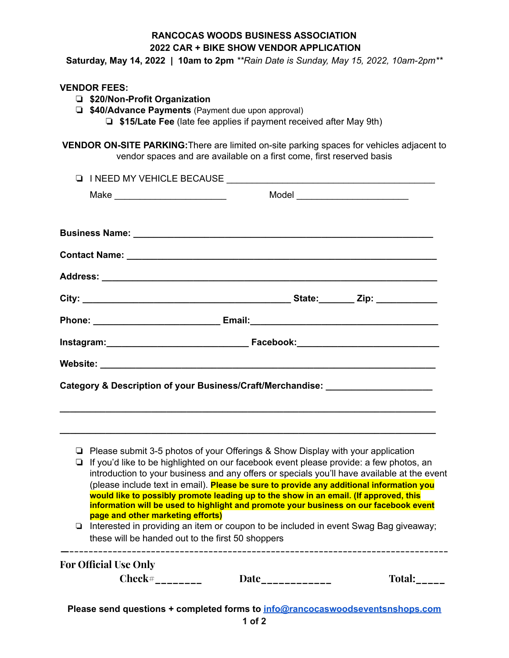## **RANCOCAS WOODS BUSINESS ASSOCIATION 2022 CAR + BIKE SHOW VENDOR APPLICATION**

**Saturday, May 14, 2022 | 10am to 2pm** *\*\*Rain Date is Sunday, May 15, 2022, 10am-2pm\*\**

- ❏ **\$20/Non-Profit Organization**
- ❏ **\$40/Advance Payments** (Payment due upon approval)
	- ❏ **\$15/Late Fee** (late fee applies if payment received after May 9th)

**VENDOR ON-SITE PARKING:**There are limited on-site parking spaces for vehicles adjacent to vendor spaces and are available on a first come, first reserved basis

|  | I INEED MY VEHICLE BECAUSE         |                                                                                                                                                                                                                                                                                                                                                                                                                         |  |
|--|------------------------------------|-------------------------------------------------------------------------------------------------------------------------------------------------------------------------------------------------------------------------------------------------------------------------------------------------------------------------------------------------------------------------------------------------------------------------|--|
|  | Make _____________________________ |                                                                                                                                                                                                                                                                                                                                                                                                                         |  |
|  |                                    |                                                                                                                                                                                                                                                                                                                                                                                                                         |  |
|  |                                    |                                                                                                                                                                                                                                                                                                                                                                                                                         |  |
|  |                                    |                                                                                                                                                                                                                                                                                                                                                                                                                         |  |
|  |                                    |                                                                                                                                                                                                                                                                                                                                                                                                                         |  |
|  |                                    |                                                                                                                                                                                                                                                                                                                                                                                                                         |  |
|  |                                    |                                                                                                                                                                                                                                                                                                                                                                                                                         |  |
|  |                                    |                                                                                                                                                                                                                                                                                                                                                                                                                         |  |
|  |                                    |                                                                                                                                                                                                                                                                                                                                                                                                                         |  |
|  |                                    | Category & Description of your Business/Craft/Merchandise: _____________________                                                                                                                                                                                                                                                                                                                                        |  |
|  |                                    | $\Box$ Please submit 3-5 photos of your Offerings & Show Display with your application<br>□ If you'd like to be highlighted on our facebook event please provide: a few photos, an<br>introduction to your business and any offers or specials you'll have available at the event                                                                                                                                       |  |
|  | page and other marketing efforts)  | (please include text in email). Please be sure to provide any additional information you<br>would like to possibly promote leading up to the show in an email. (If approved, this<br>information will be used to highlight and promote your business on our facebook event<br>Interested in providing an item or coupon to be included in event Swag Bag giveaway;<br>these will be handed out to the first 50 shoppers |  |

**Please send questions + completed forms to [info@rancocaswoodseventsnshops.com](mailto:info@rancocaswoodseventsnshops.com)**